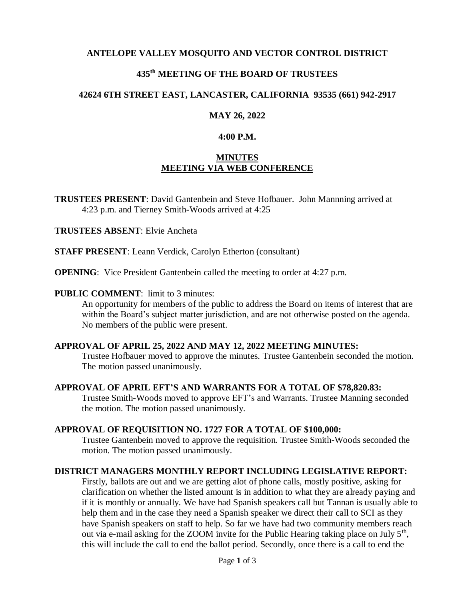## **ANTELOPE VALLEY MOSQUITO AND VECTOR CONTROL DISTRICT**

## **435 th MEETING OF THE BOARD OF TRUSTEES**

### **42624 6TH STREET EAST, LANCASTER, CALIFORNIA 93535 (661) 942-2917**

#### **MAY 26, 2022**

#### **4:00 P.M.**

### **MINUTES MEETING VIA WEB CONFERENCE**

**TRUSTEES PRESENT**: David Gantenbein and Steve Hofbauer. John Mannning arrived at 4:23 p.m. and Tierney Smith-Woods arrived at 4:25

**TRUSTEES ABSENT**: Elvie Ancheta

**STAFF PRESENT**: Leann Verdick, Carolyn Etherton (consultant)

**OPENING**: Vice President Gantenbein called the meeting to order at 4:27 p.m.

#### **PUBLIC COMMENT:** limit to 3 minutes:

An opportunity for members of the public to address the Board on items of interest that are within the Board's subject matter jurisdiction, and are not otherwise posted on the agenda. No members of the public were present.

#### **APPROVAL OF APRIL 25, 2022 AND MAY 12, 2022 MEETING MINUTES:**

Trustee Hofbauer moved to approve the minutes. Trustee Gantenbein seconded the motion. The motion passed unanimously.

#### **APPROVAL OF APRIL EFT'S AND WARRANTS FOR A TOTAL OF \$78,820.83:**

Trustee Smith-Woods moved to approve EFT's and Warrants. Trustee Manning seconded the motion. The motion passed unanimously.

#### **APPROVAL OF REQUISITION NO. 1727 FOR A TOTAL OF \$100,000:**

Trustee Gantenbein moved to approve the requisition. Trustee Smith-Woods seconded the motion. The motion passed unanimously.

#### **DISTRICT MANAGERS MONTHLY REPORT INCLUDING LEGISLATIVE REPORT:**

Firstly, ballots are out and we are getting alot of phone calls, mostly positive, asking for clarification on whether the listed amount is in addition to what they are already paying and if it is monthly or annually. We have had Spanish speakers call but Tannan is usually able to help them and in the case they need a Spanish speaker we direct their call to SCI as they have Spanish speakers on staff to help. So far we have had two community members reach out via e-mail asking for the ZOOM invite for the Public Hearing taking place on July  $5<sup>th</sup>$ , this will include the call to end the ballot period. Secondly, once there is a call to end the